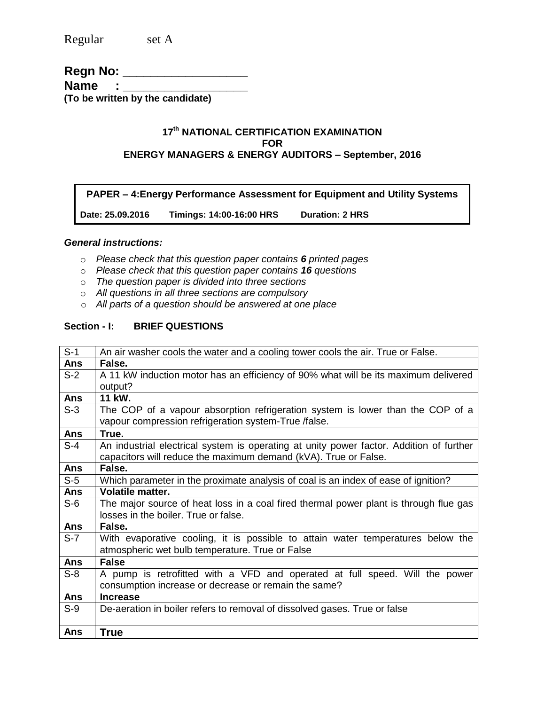Regular set A

### **Regn No: \_\_\_\_\_\_\_\_\_\_\_\_\_\_\_\_\_\_\_\_\_ Name** : \_ **(To be written by the candidate)**

### **17 th NATIONAL CERTIFICATION EXAMINATION FOR ENERGY MANAGERS & ENERGY AUDITORS – September, 2016**

**PAPER – 4:Energy Performance Assessment for Equipment and Utility Systems**

**Date: 25.09.2016 Timings: 14:00-16:00 HRS Duration: 2 HRS** 

#### *General instructions:*

- o *Please check that this question paper contains 6 printed pages*
- o *Please check that this question paper contains 16 questions*
- o *The question paper is divided into three sections*
- o *All questions in all three sections are compulsory*
- o *All parts of a question should be answered at one place*

### **Section - I: BRIEF QUESTIONS**

| $S-1$      | An air washer cools the water and a cooling tower cools the air. True or False.         |
|------------|-----------------------------------------------------------------------------------------|
| Ans        | False.                                                                                  |
| $S-2$      | A 11 kW induction motor has an efficiency of 90% what will be its maximum delivered     |
|            | output?                                                                                 |
| Ans        | 11 kW.                                                                                  |
| $S-3$      | The COP of a vapour absorption refrigeration system is lower than the COP of a          |
|            | vapour compression refrigeration system-True /false.                                    |
| Ans        | True.                                                                                   |
| $S-4$      | An industrial electrical system is operating at unity power factor. Addition of further |
|            | capacitors will reduce the maximum demand (kVA). True or False.                         |
| <b>Ans</b> | False.                                                                                  |
| $S-5$      | Which parameter in the proximate analysis of coal is an index of ease of ignition?      |
| Ans        | <b>Volatile matter.</b>                                                                 |
| $S-6$      | The major source of heat loss in a coal fired thermal power plant is through flue gas   |
|            | losses in the boiler. True or false.                                                    |
| Ans        | False.                                                                                  |
| $S-7$      | With evaporative cooling, it is possible to attain water temperatures below the         |
|            | atmospheric wet bulb temperature. True or False                                         |
| Ans        | <b>False</b>                                                                            |
| $S-8$      | A pump is retrofitted with a VFD and operated at full speed. Will the power             |
|            | consumption increase or decrease or remain the same?                                    |
| Ans        | <b>Increase</b>                                                                         |
| $S-9$      | De-aeration in boiler refers to removal of dissolved gases. True or false               |
|            |                                                                                         |
| Ans        | <b>True</b>                                                                             |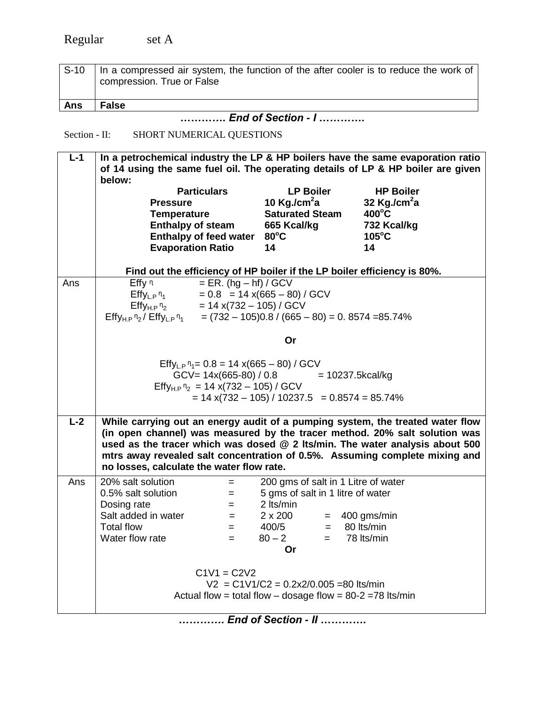| $S-10$ | In a compressed air system, the function of the after cooler is to reduce the work of<br>compression. True or False |
|--------|---------------------------------------------------------------------------------------------------------------------|
| Ans    | <b>False</b>                                                                                                        |

*…………. End of Section - I ………….*

# Section - II: SHORT NUMERICAL QUESTIONS

| $L-1$ | In a petrochemical industry the LP & HP boilers have the same evaporation ratio<br>of 14 using the same fuel oil. The operating details of LP & HP boiler are given<br>below:                                                                                                                                                                                            |                                                                                                                                                          |                                                                                               |  |  |  |  |  |
|-------|--------------------------------------------------------------------------------------------------------------------------------------------------------------------------------------------------------------------------------------------------------------------------------------------------------------------------------------------------------------------------|----------------------------------------------------------------------------------------------------------------------------------------------------------|-----------------------------------------------------------------------------------------------|--|--|--|--|--|
|       | <b>Particulars</b><br><b>Pressure</b><br><b>Temperature</b><br><b>Enthalpy of steam</b><br><b>Enthalpy of feed water</b><br><b>Evaporation Ratio</b>                                                                                                                                                                                                                     | <b>LP Boiler</b><br>10 Kg./cm $2a$<br><b>Saturated Steam</b><br>665 Kcal/kg<br>$80^{\circ}$ C<br>14                                                      | <b>HP Boiler</b><br>32 Kg./cm $2a$<br>$400^{\circ}$ C<br>732 Kcal/kg<br>$105^{\circ}$ C<br>14 |  |  |  |  |  |
|       | Find out the efficiency of HP boiler if the LP boiler efficiency is 80%.                                                                                                                                                                                                                                                                                                 |                                                                                                                                                          |                                                                                               |  |  |  |  |  |
| Ans   | $= ER. (hg - hf) / GCV$<br>Effy n<br>$Effy_{L,P}n_1$<br>$= 0.8 = 14 \times (665 - 80) / GCV$<br>Effy <sub>H,P</sub> $n_2$ = 14 x(732 – 105) / GCV<br>Effy <sub>H,P</sub> $n_2$ = 14 x(732 – 105) / GCV<br>Effy <sub>H,P</sub> $n_2$ / Effy <sub>L,P</sub> $n_1$ = (732 – 105)0.8 / (665 – 80) = 0. 8574 = 85.74%                                                         |                                                                                                                                                          |                                                                                               |  |  |  |  |  |
|       |                                                                                                                                                                                                                                                                                                                                                                          | Or                                                                                                                                                       |                                                                                               |  |  |  |  |  |
|       | Effy <sub>L.P</sub> $n_1 = 0.8 = 14 \times (665 - 80) / GCV$<br>Effy <sub>H.P</sub> $n_2$ = 14 x(732 – 105) / GCV                                                                                                                                                                                                                                                        | $GCV = 14x(665-80) / 0.8$ = 10237.5kcal/kg<br>$= 14 x(732 - 105) / 10237.5 = 0.8574 = 85.74\%$                                                           |                                                                                               |  |  |  |  |  |
| $L-2$ | While carrying out an energy audit of a pumping system, the treated water flow<br>(in open channel) was measured by the tracer method. 20% salt solution was<br>used as the tracer which was dosed @ 2 lts/min. The water analysis about 500<br>mtrs away revealed salt concentration of 0.5%. Assuming complete mixing and<br>no losses, calculate the water flow rate. |                                                                                                                                                          |                                                                                               |  |  |  |  |  |
| Ans   | 20% salt solution<br>$=$<br>0.5% salt solution<br>$=$<br>Dosing rate<br>$=$<br>Salt added in water<br>$=$<br><b>Total flow</b><br>$=$<br>Water flow rate<br>$=$                                                                                                                                                                                                          | 200 gms of salt in 1 Litre of water<br>5 gms of salt in 1 litre of water<br>2 lts/min<br>$2 \times 200$<br>$400/5 =$<br>$80 - 2$<br>$=$ $-$<br><b>Or</b> | $=$ 400 gms/min<br>80 Its/min<br>78 lts/min                                                   |  |  |  |  |  |
|       | $C1V1 = C2V2$                                                                                                                                                                                                                                                                                                                                                            | $V2 = C1V1/C2 = 0.2x2/0.005 = 80$ lts/min<br>Actual flow = total flow - dosage flow = $80-2$ =78 lts/min                                                 |                                                                                               |  |  |  |  |  |
|       |                                                                                                                                                                                                                                                                                                                                                                          | End of Section - II                                                                                                                                      |                                                                                               |  |  |  |  |  |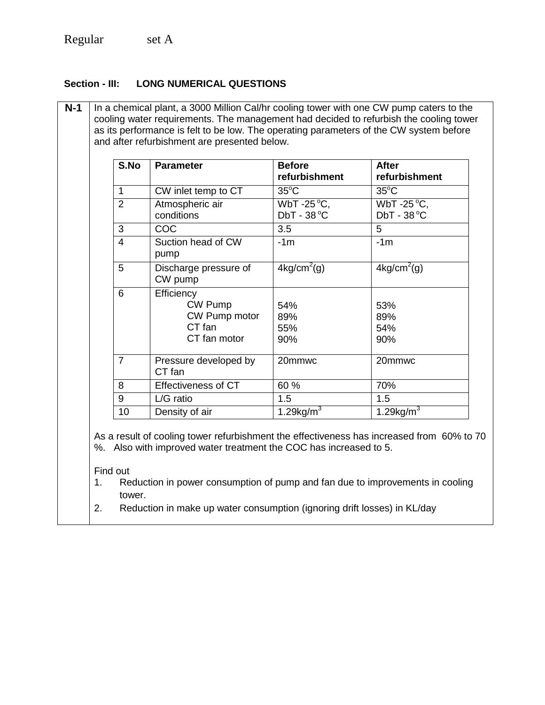# **Section - III: LONG NUMERICAL QUESTIONS**

| S.No            | <b>Parameter</b>                                                                                                                                                                                                                                | <b>Before</b><br>refurbishment    | <b>After</b><br>refurbishment     |
|-----------------|-------------------------------------------------------------------------------------------------------------------------------------------------------------------------------------------------------------------------------------------------|-----------------------------------|-----------------------------------|
| 1               | CW inlet temp to CT                                                                                                                                                                                                                             | $35^{\circ}$ C                    | $35^{\circ}$ C                    |
| $\overline{2}$  | Atmospheric air<br>conditions                                                                                                                                                                                                                   | WbT-25 °C,<br>$DbT - 38^{\circ}C$ | WbT-25 °C,<br>$DbT - 38^{\circ}C$ |
| 3               | COC                                                                                                                                                                                                                                             | 3.5                               | 5                                 |
| $\overline{4}$  | Suction head of CW<br>pump                                                                                                                                                                                                                      | $-1m$                             | $-1m$                             |
| 5               | Discharge pressure of<br>CW pump                                                                                                                                                                                                                | $4\text{kg/cm}^2$ (g)             | $4\text{kg/cm}^2$ (g)             |
| $6\phantom{1}6$ | Efficiency<br>CW Pump<br>CW Pump motor<br>CT fan<br>CT fan motor                                                                                                                                                                                | 54%<br>89%<br>55%<br>90%          | 53%<br>89%<br>54%<br>90%          |
| $\overline{7}$  | Pressure developed by<br>CT fan                                                                                                                                                                                                                 | 20mmwc                            | 20mmwc                            |
| 8               | <b>Effectiveness of CT</b>                                                                                                                                                                                                                      | 60 %                              | 70%                               |
| 9               | $\overline{L/G}$ ratio                                                                                                                                                                                                                          | $\overline{1.5}$                  | 1.5                               |
| 10              | Density of air                                                                                                                                                                                                                                  | 1.29 $\overline{\text{kg/m}^3}$   | 1.29kg/ $\overline{m}^3$          |
| Find out<br>1.  | As a result of cooling tower refurbishment the effectiveness has increased from 60% to 70<br>%. Also with improved water treatment the COC has increased to 5.<br>Reduction in power consumption of pump and fan due to improvements in cooling |                                   |                                   |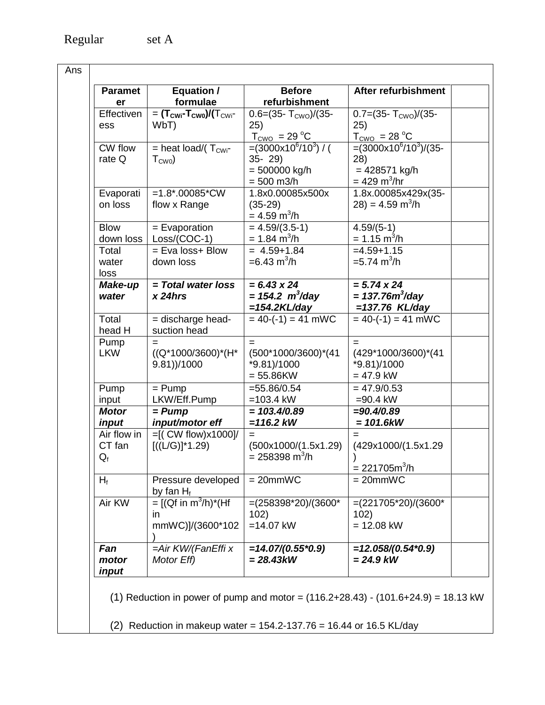| <b>Paramet</b> | Equation /                                                    | <b>Before</b>                    | After refurbishment             |
|----------------|---------------------------------------------------------------|----------------------------------|---------------------------------|
| er             | formulae                                                      | refurbishment                    |                                 |
| Effectiven     | $=$ (T <sub>CWi</sub> -T <sub>CW0</sub> )/(T <sub>CWi</sub> - | $0.6 = (35 - T_{CWO})/(35 -$     | 0.7=(35- $T_{CWO}$ )/(35-       |
| ess            | WbT)                                                          | 25)                              | 25)                             |
|                |                                                               | $T_{\text{CWO}} = 29 \text{ °C}$ | $T_{CWO}$ = 28 °C               |
| CW flow        | = heat load/ $(T_{\text{CWi}}$ -                              | $=(3000x10^6/10^3)/($            | $=(3000x10^{6}/10^{3})/(35-$    |
| rate Q         | $T_{\text{CWO}}$                                              | $35 - 29$                        | (28)                            |
|                |                                                               | $= 500000$ kg/h                  | $= 428571$ kg/h                 |
|                |                                                               | $= 500$ m3/h                     | $= 429 \text{ m}^3/\text{hr}$   |
| Evaporati      | $=1.8$ *.00085*CW                                             | 1.8x0.00085x500x                 | 1.8x.00085x429x(35-             |
| on loss        | flow x Range                                                  | $(35-29)$                        | $(28) = 4.59$ m <sup>3</sup> /h |
|                |                                                               | $= 4.59 \text{ m}^3/\text{h}$    |                                 |
| <b>Blow</b>    | $=$ Evaporation                                               | $\overline{=}$ 4.59/(3.5-1)      | $4.59/(5-1)$                    |
| down loss      | Loss/(COC-1)                                                  | $= 1.84 \text{ m}^3/\text{h}$    | $= 1.15 \text{ m}^3/\text{h}$   |
| Total          | = Eva loss+ Blow                                              | $= 4.59 + 1.84$                  | $=4.59+1.15$                    |
| water          | down loss                                                     | $= 6.43$ m <sup>3</sup> /h       | $=$ 5.74 m <sup>3</sup> /h      |
| loss           |                                                               |                                  |                                 |
| Make-up        | = Total water loss                                            | $= 6.43 \times 24$               | $= 5.74 \times 24$              |
| water          | $x$ 24hrs                                                     | $= 154.2 \, m^3$ /day            | $= 137.76 m3/day$               |
|                |                                                               | $=154.2KL/day$                   | $=137.76$ KL/day                |
| Total          | = discharge head-                                             | $= 40$ -(-1) = 41 mWC            | $= 40$ -(-1) = 41 mWC           |
| head H         | suction head                                                  |                                  |                                 |
| Pump           | $=$                                                           | $=$                              | $=$                             |
| <b>LKW</b>     | $((Q*1000/3600)*(H*$                                          | (500*1000/3600)*(41              | (429*1000/3600)*(41             |
|                | $9.81$ )/1000                                                 | *9.81)/1000                      | *9.81)/1000                     |
|                |                                                               | $= 55.86$ KW                     | $= 47.9$ kW                     |
| Pump           | $=$ Pump                                                      | $=55.86/0.54$                    | $= 47.9/0.53$                   |
| input          | LKW/Eff.Pump                                                  | $=103.4$ kW                      | $= 90.4$ kW                     |
| <b>Motor</b>   | $= Pump$                                                      | $= 103.4/0.89$                   | $=90.4/0.89$                    |
| input          | input/motor eff                                               | $=116.2$ kW                      | $= 101.6kW$                     |
| Air flow in    | $=[($ CW flow) $x1000]/$                                      | $=$                              | $=$                             |
| CT fan         | $[((L/G)]^*1.29)$                                             | (500x1000/(1.5x1.29)             | (429x1000/(1.5x1.29)            |
| $Q_f$          |                                                               | $= 258398 \text{ m}^3/\text{h}$  |                                 |
|                |                                                               |                                  | $= 221705m^3/h$                 |
| $H_f$          | Pressure developed                                            | $= 20$ mmWC                      | $= 20$ mmWC                     |
|                | by fan $H_f$                                                  |                                  |                                 |
| Air KW         | $= [(Qf in m3/h)*(Hf)]$                                       | $=(258398*20)/(3600*$            | $=(221705*20)/(3600*$           |
|                | ın                                                            | 102)                             | 102)                            |
|                | mmWC)]/(3600*102                                              | $=14.07$ kW                      | $= 12.08$ kW                    |
|                |                                                               |                                  |                                 |
| Fan            | =Air KW/(FanEffi x                                            | $=14.07/(0.55*0.9)$              | $=12.058/(0.54*0.9)$            |
| motor<br>input | Motor Eff)                                                    | $= 28.43kW$                      | $= 24.9$ kW                     |

(1) Reduction in power of pump and motor =  $(116.2+28.43) - (101.6+24.9) = 18.13$  kW

(2) Reduction in makeup water =  $154.2 - 137.76 = 16.44$  or  $16.5$  KL/day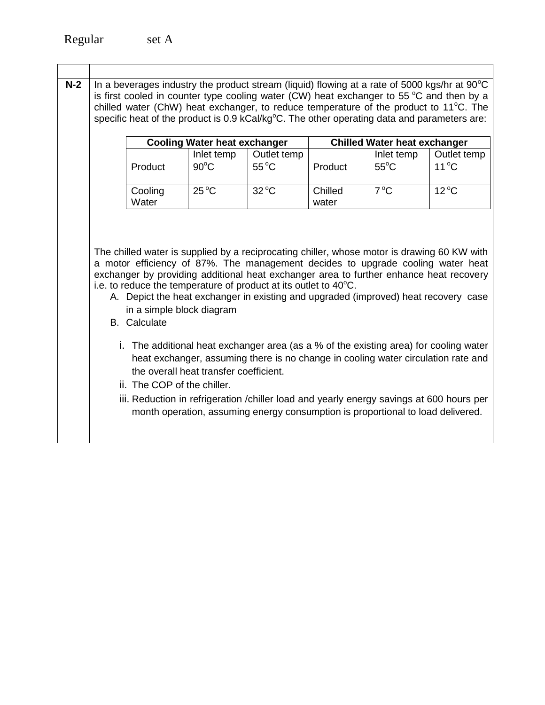| $N-2$ |                                                  |                                        |                                                                            | specific heat of the product is 0.9 kCal/kg <sup>o</sup> C. The other operating data and parameters are: |                | In a beverages industry the product stream (liquid) flowing at a rate of 5000 kgs/hr at $90^{\circ}$ C<br>is first cooled in counter type cooling water (CW) heat exchanger to 55 $\degree$ C and then by a<br>chilled water (ChW) heat exchanger, to reduce temperature of the product to 11°C. The                                                                                                                                                     |  |
|-------|--------------------------------------------------|----------------------------------------|----------------------------------------------------------------------------|----------------------------------------------------------------------------------------------------------|----------------|----------------------------------------------------------------------------------------------------------------------------------------------------------------------------------------------------------------------------------------------------------------------------------------------------------------------------------------------------------------------------------------------------------------------------------------------------------|--|
|       |                                                  | <b>Cooling Water heat exchanger</b>    |                                                                            | <b>Chilled Water heat exchanger</b>                                                                      |                |                                                                                                                                                                                                                                                                                                                                                                                                                                                          |  |
|       |                                                  | Inlet temp                             | Outlet temp                                                                |                                                                                                          | Inlet temp     | Outlet temp                                                                                                                                                                                                                                                                                                                                                                                                                                              |  |
|       | Product                                          | $90^{\circ}$ C                         | $55^{\circ}$ C                                                             | Product                                                                                                  | $55^{\circ}$ C | $11^{\circ}$ C                                                                                                                                                                                                                                                                                                                                                                                                                                           |  |
|       | Cooling<br>Water                                 | $25^{\circ}$ C                         | $32^{\circ}$ C                                                             | Chilled<br>water                                                                                         | $7^{\circ}$ C  | $12^{\circ}$ C                                                                                                                                                                                                                                                                                                                                                                                                                                           |  |
|       | in a simple block diagram<br><b>B.</b> Calculate |                                        | i.e. to reduce the temperature of product at its outlet to $40^{\circ}$ C. |                                                                                                          |                | The chilled water is supplied by a reciprocating chiller, whose motor is drawing 60 KW with<br>a motor efficiency of 87%. The management decides to upgrade cooling water heat<br>exchanger by providing additional heat exchanger area to further enhance heat recovery<br>A. Depict the heat exchanger in existing and upgraded (improved) heat recovery case<br>i. The additional heat exchanger area (as a % of the existing area) for cooling water |  |
|       | ii. The COP of the chiller.                      | the overall heat transfer coefficient. |                                                                            |                                                                                                          |                | heat exchanger, assuming there is no change in cooling water circulation rate and                                                                                                                                                                                                                                                                                                                                                                        |  |
|       |                                                  |                                        |                                                                            | month operation, assuming energy consumption is proportional to load delivered.                          |                | iii. Reduction in refrigeration /chiller load and yearly energy savings at 600 hours per                                                                                                                                                                                                                                                                                                                                                                 |  |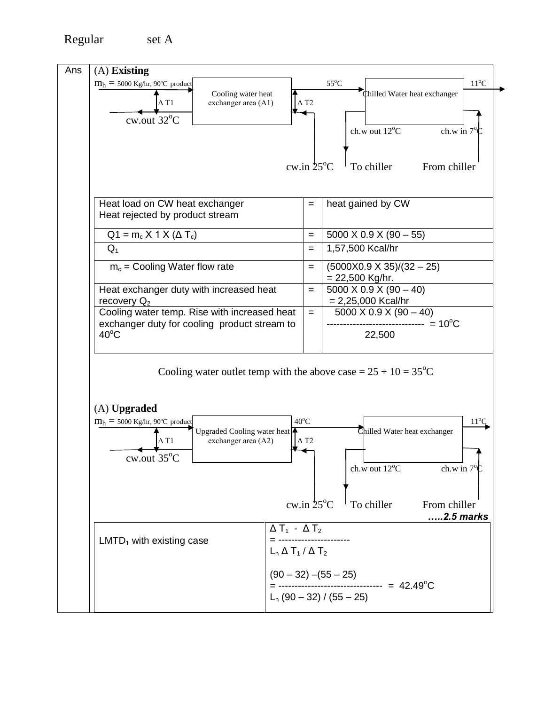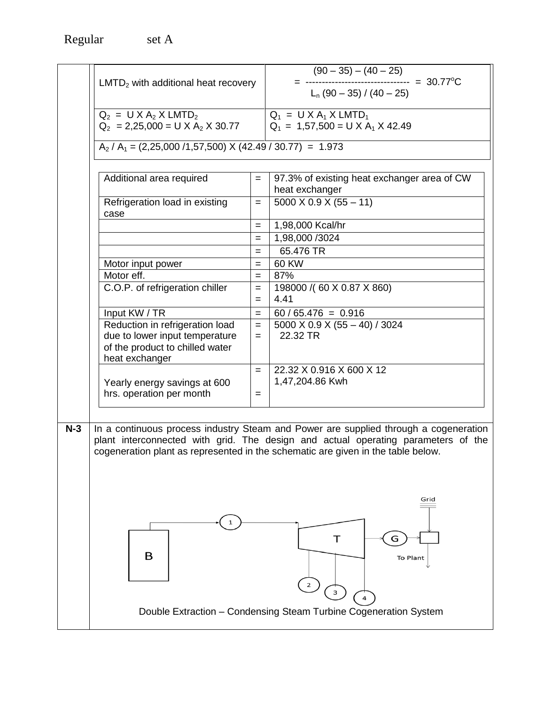|       | $LMTD2$ with additional heat recovery                                                                                  |            | $(90-35) - (40-25)$<br>= --------------------------------- = 30.77°C<br>L <sub>n</sub> (90 – 35) / (40 – 25)                                                                                                                                                  |  |
|-------|------------------------------------------------------------------------------------------------------------------------|------------|---------------------------------------------------------------------------------------------------------------------------------------------------------------------------------------------------------------------------------------------------------------|--|
|       |                                                                                                                        |            |                                                                                                                                                                                                                                                               |  |
|       | $Q_2 = U X A_2 X LMTD_2$<br>$Q_2 = 2,25,000 = U \times A_2 \times 30.77$                                               |            | $Q_1 = U \times A_1 \times LMTD_1$<br>$Q_1 = 1,57,500 = U \times A_1 \times 42.49$                                                                                                                                                                            |  |
|       | $A_2$ / $A_1$ = (2,25,000 /1,57,500) X (42.49 / 30.77) = 1.973                                                         |            |                                                                                                                                                                                                                                                               |  |
|       | Additional area required                                                                                               | $=$        | 97.3% of existing heat exchanger area of CW<br>heat exchanger                                                                                                                                                                                                 |  |
|       | Refrigeration load in existing<br>case                                                                                 | $=$        | $5000 \times 0.9 \times (55 - 11)$                                                                                                                                                                                                                            |  |
|       |                                                                                                                        | $=$        | 1,98,000 Kcal/hr                                                                                                                                                                                                                                              |  |
|       |                                                                                                                        | $=$        | 1,98,000 /3024                                                                                                                                                                                                                                                |  |
|       |                                                                                                                        | $=$        | 65.476 TR<br>60 KW                                                                                                                                                                                                                                            |  |
|       | Motor input power<br>Motor eff.                                                                                        | $=$<br>$=$ | 87%                                                                                                                                                                                                                                                           |  |
|       | C.O.P. of refrigeration chiller<br>198000 /(60 X 0.87 X 860)<br>$=$<br>4.41<br>$=$                                     |            |                                                                                                                                                                                                                                                               |  |
|       | Input KW / TR                                                                                                          | $=$        | $60 / 65.476 = 0.916$                                                                                                                                                                                                                                         |  |
|       | Reduction in refrigeration load<br>due to lower input temperature<br>of the product to chilled water<br>heat exchanger | $=$<br>$=$ | 5000 X 0.9 X (55 - 40) / 3024<br>22.32 TR                                                                                                                                                                                                                     |  |
|       | Yearly energy savings at 600<br>hrs. operation per month                                                               | $=$<br>$=$ | 22.32 X 0.916 X 600 X 12<br>1,47,204.86 Kwh                                                                                                                                                                                                                   |  |
| $N-3$ |                                                                                                                        |            | In a continuous process industry Steam and Power are supplied through a cogeneration<br>plant interconnected with grid. The design and actual operating parameters of the<br>cogeneration plant as represented in the schematic are given in the table below. |  |
|       | в                                                                                                                      |            | Grid<br>G<br>To Plant<br>$\overline{2}$<br>$\overline{\mathbf{3}}$<br>$\overline{4}$<br>Double Extraction - Condensing Steam Turbine Cogeneration System                                                                                                      |  |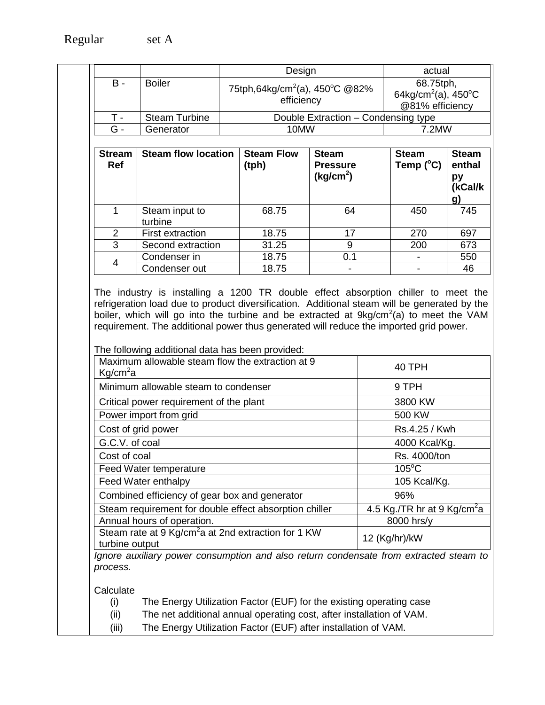|                           |                            |  | Design                                                   | actual                                                                             |                                           |                                                      |
|---------------------------|----------------------------|--|----------------------------------------------------------|------------------------------------------------------------------------------------|-------------------------------------------|------------------------------------------------------|
| $B -$                     | <b>Boiler</b>              |  | 75tph,64kg/cm <sup>2</sup> (a), 450°C @82%<br>efficiency | 68.75tph,<br>64kg/cm <sup>2</sup> (a), 450 $\mathrm{^{\circ}C}$<br>@81% efficiency |                                           |                                                      |
| $T -$                     | <b>Steam Turbine</b>       |  |                                                          | Double Extraction - Condensing type                                                |                                           |                                                      |
| G -                       | Generator                  |  | 10MW                                                     |                                                                                    | 7.2MW                                     |                                                      |
|                           |                            |  |                                                          |                                                                                    |                                           |                                                      |
| <b>Stream</b><br>Ref<br>1 | <b>Steam flow location</b> |  | <b>Steam Flow</b><br>(tph)<br>68.75                      | <b>Steam</b><br><b>Pressure</b><br>(kg/cm <sup>2</sup> )<br>64                     | <b>Steam</b><br>Temp $(^{\circ}C)$<br>450 | <b>Steam</b><br>enthal<br>рy<br>(kCal/k<br>g)<br>745 |
|                           | Steam input to<br>turbine  |  |                                                          |                                                                                    |                                           |                                                      |
|                           |                            |  |                                                          |                                                                                    |                                           |                                                      |
| $\overline{2}$            | <b>First extraction</b>    |  | 18.75                                                    | 17                                                                                 | 270                                       | 697                                                  |
| 3                         | Second extraction          |  | 31.25                                                    | 9                                                                                  | 200                                       | 673                                                  |
| $\overline{4}$            | Condenser in               |  | 18.75                                                    | 0.1                                                                                |                                           | 550                                                  |

The industry is installing a 1200 TR double effect absorption chiller to meet the refrigeration load due to product diversification. Additional steam will be generated by the boiler, which will go into the turbine and be extracted at  $9kg/cm<sup>2</sup>(a)$  to meet the VAM requirement. The additional power thus generated will reduce the imported grid power.

The following additional data has been provided:

| Maximum allowable steam flow the extraction at 9<br>Kg/cm <sup>2</sup> a          | 40 TPH                                  |
|-----------------------------------------------------------------------------------|-----------------------------------------|
| Minimum allowable steam to condenser                                              | 9 TPH                                   |
| Critical power requirement of the plant                                           | 3800 KW                                 |
| Power import from grid                                                            | 500 KW                                  |
| Cost of grid power                                                                | Rs.4.25 / Kwh                           |
| G.C.V. of coal                                                                    | 4000 Kcal/Kg.                           |
| Cost of coal                                                                      | Rs. 4000/ton                            |
| Feed Water temperature                                                            | $105^{\circ}$ C                         |
| Feed Water enthalpy                                                               | 105 Kcal/Kg.                            |
| Combined efficiency of gear box and generator                                     | 96%                                     |
| Steam requirement for double effect absorption chiller                            | 4.5 Kg./TR hr at 9 Kg/cm <sup>2</sup> a |
| Annual hours of operation.                                                        | 8000 hrs/y                              |
| Steam rate at 9 Kg/cm <sup>2</sup> a at 2nd extraction for 1 KW<br>turbine output | 12 (Kg/hr)/kW                           |

*Ignore auxiliary power consumption and also return condensate from extracted steam to process.*

**Calculate** 

(i) The Energy Utilization Factor (EUF) for the existing operating case

(ii) The net additional annual operating cost, after installation of VAM.

(iii) The Energy Utilization Factor (EUF) after installation of VAM.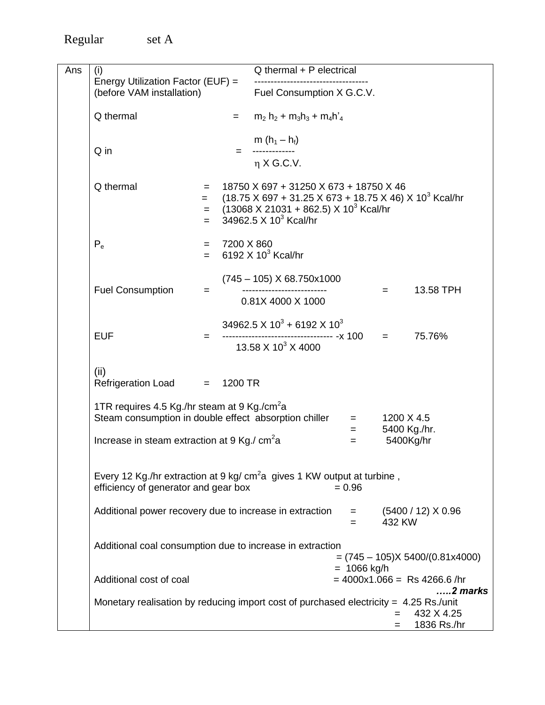Regular

| set<br>$\sqrt{ }$ |
|-------------------|
|-------------------|

| Ans | (i)                                                                                     |                           | Q thermal + P electrical                                                                                                  |                    |                            |                                                |
|-----|-----------------------------------------------------------------------------------------|---------------------------|---------------------------------------------------------------------------------------------------------------------------|--------------------|----------------------------|------------------------------------------------|
|     | Energy Utilization Factor (EUF) =                                                       |                           |                                                                                                                           |                    |                            |                                                |
|     | (before VAM installation)                                                               | Fuel Consumption X G.C.V. |                                                                                                                           |                    |                            |                                                |
|     | Q thermal                                                                               | $=$                       | $m_2$ h <sub>2</sub> + m <sub>3</sub> h <sub>3</sub> + m <sub>4</sub> h <sup>2</sup> <sub>4</sub>                         |                    |                            |                                                |
|     |                                                                                         |                           | m $(h_1 - h_f)$                                                                                                           |                    |                            |                                                |
|     | Q in                                                                                    |                           |                                                                                                                           |                    |                            |                                                |
|     |                                                                                         |                           | $\eta$ X G.C.V.                                                                                                           |                    |                            |                                                |
|     |                                                                                         |                           |                                                                                                                           |                    |                            |                                                |
|     | Q thermal                                                                               | $=$<br>$=$                | 18750 X 697 + 31250 X 673 + 18750 X 46<br>$(18.75 \times 697 + 31.25 \times 673 + 18.75 \times 46) \times 10^{3}$ Kcal/hr |                    |                            |                                                |
|     |                                                                                         | $=$                       | $(13068 \times 21031 + 862.5) \times 10^{3}$ Kcal/hr                                                                      |                    |                            |                                                |
|     |                                                                                         | $=$                       | 34962.5 $\times$ 10 <sup>3</sup> Kcal/hr                                                                                  |                    |                            |                                                |
|     |                                                                                         |                           |                                                                                                                           |                    |                            |                                                |
|     | $P_e$                                                                                   | 7200 X 860<br>$=$ $-$     |                                                                                                                           |                    |                            |                                                |
|     |                                                                                         | $=$                       | 6192 $X$ 10 <sup>3</sup> Kcal/hr                                                                                          |                    |                            |                                                |
|     |                                                                                         |                           | $(745 - 105)$ X 68.750x1000                                                                                               |                    |                            |                                                |
|     | <b>Fuel Consumption</b>                                                                 | $=$                       |                                                                                                                           |                    | $=$                        | 13.58 TPH                                      |
|     |                                                                                         |                           | 0.81X 4000 X 1000                                                                                                         |                    |                            |                                                |
|     |                                                                                         |                           |                                                                                                                           |                    |                            |                                                |
|     |                                                                                         |                           | 34962.5 X $10^3$ + 6192 X $10^3$                                                                                          |                    |                            |                                                |
|     | <b>EUF</b>                                                                              | $=$                       | 13.58 X 10 <sup>3</sup> X 4000                                                                                            |                    |                            | 75.76%                                         |
|     |                                                                                         |                           |                                                                                                                           |                    |                            |                                                |
|     | (ii)                                                                                    |                           |                                                                                                                           |                    |                            |                                                |
|     | Refrigeration Load = 1200 TR                                                            |                           |                                                                                                                           |                    |                            |                                                |
|     |                                                                                         |                           |                                                                                                                           |                    |                            |                                                |
|     | 1TR requires 4.5 Kg./hr steam at 9 Kg./cm <sup>2</sup> a                                |                           |                                                                                                                           |                    |                            |                                                |
|     | Steam consumption in double effect absorption chiller                                   |                           |                                                                                                                           | $=$ $-$<br>$=$ $-$ | 1200 X 4.5<br>5400 Kg./hr. |                                                |
|     | Increase in steam extraction at 9 Kg./ $cm2a$                                           |                           |                                                                                                                           | $=$                | 5400Kg/hr                  |                                                |
|     |                                                                                         |                           |                                                                                                                           |                    |                            |                                                |
|     |                                                                                         |                           |                                                                                                                           |                    |                            |                                                |
|     | Every 12 Kg./hr extraction at 9 kg/ cm <sup>2</sup> a gives 1 KW output at turbine,     |                           |                                                                                                                           |                    |                            |                                                |
|     | $= 0.96$<br>efficiency of generator and gear box                                        |                           |                                                                                                                           |                    |                            |                                                |
|     | Additional power recovery due to increase in extraction                                 |                           |                                                                                                                           |                    |                            | $=$ (5400 / 12) X 0.96                         |
|     |                                                                                         |                           |                                                                                                                           | $=$                | 432 KW                     |                                                |
|     |                                                                                         |                           |                                                                                                                           |                    |                            |                                                |
|     | Additional coal consumption due to increase in extraction                               |                           |                                                                                                                           |                    |                            |                                                |
|     |                                                                                         |                           |                                                                                                                           |                    |                            | $= (745 - 105) \times 5400/(0.81 \times 4000)$ |
|     | Additional cost of coal                                                                 |                           |                                                                                                                           | $= 1066$ kg/h      |                            | $= 4000x1.066 =$ Rs 4266.6/hr                  |
|     |                                                                                         |                           |                                                                                                                           |                    |                            | 2 marks                                        |
|     | Monetary realisation by reducing import cost of purchased electricity = $4.25$ Rs./unit |                           |                                                                                                                           |                    |                            |                                                |
|     |                                                                                         |                           |                                                                                                                           |                    | $=$                        | 432 X 4.25                                     |
|     |                                                                                         |                           |                                                                                                                           |                    | $=$                        | 1836 Rs./hr                                    |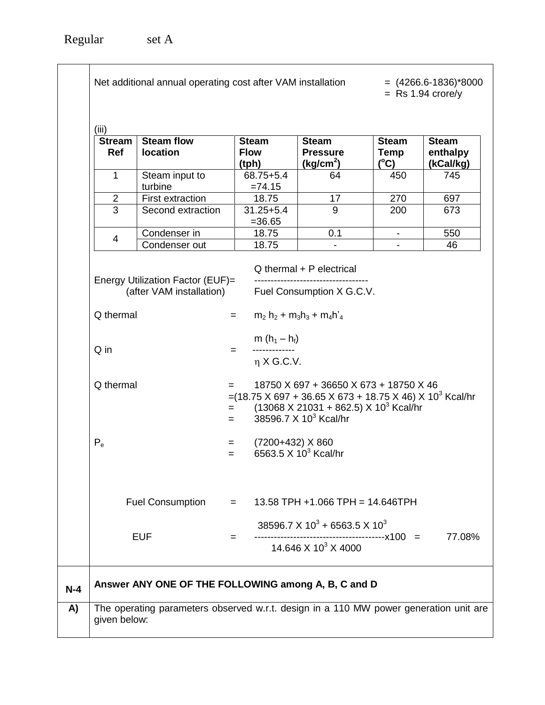| (iii)                       |                                       |                                                                                                                                |                                                                                                                                                                                     |                                       |                                       |
|-----------------------------|---------------------------------------|--------------------------------------------------------------------------------------------------------------------------------|-------------------------------------------------------------------------------------------------------------------------------------------------------------------------------------|---------------------------------------|---------------------------------------|
| <b>Stream</b><br><b>Ref</b> | <b>Steam flow</b><br>location         | <b>Steam</b><br><b>Flow</b><br>(tph)                                                                                           | <b>Steam</b><br><b>Pressure</b><br>(kg/cm <sup>2</sup> )                                                                                                                            | <b>Steam</b><br>Temp<br>$(^{\circ}C)$ | <b>Steam</b><br>enthalpy<br>(kCal/kg) |
| 1                           | Steam input to<br>turbine             | $68.75 + 5.4$<br>$=74.15$                                                                                                      | 64                                                                                                                                                                                  | 450                                   | 745                                   |
| $\overline{2}$              | First extraction                      | 18.75                                                                                                                          | 17                                                                                                                                                                                  | 270                                   | 697                                   |
| 3                           | Second extraction                     | $31.25 + 5.4$<br>$= 36.65$                                                                                                     | 9                                                                                                                                                                                   | 200                                   | 673                                   |
| 4                           | Condenser in                          | 18.75                                                                                                                          | 0.1                                                                                                                                                                                 |                                       | 550                                   |
|                             | Condenser out                         | 18.75                                                                                                                          |                                                                                                                                                                                     |                                       | 46                                    |
| Q thermal<br>$P_e$          |                                       | $=(18.75 \times 697 + 36.65 \times 673 + 18.75 \times 46) \times 10^3$ Kcal/hr<br>$=$<br>$=$<br>(7200+432) X 860<br>$=$<br>$=$ | 18750 X 697 + 36650 X 673 + 18750 X 46<br>$(13068 \times 21031 + 862.5) \times 10^3$ Kcal/hr<br>38596.7 $\times$ 10 <sup>3</sup> Kcal/hr<br>6563.5 $\times$ 10 <sup>3</sup> Kcal/hr |                                       |                                       |
|                             | <b>Fuel Consumption</b><br><b>EUF</b> | $=$<br>$=$                                                                                                                     | $13.58$ TPH +1.066 TPH = 14.646TPH<br>38596.7 X $10^3$ + 6563.5 X $10^3$<br>14.646 X 10 <sup>3</sup> X 4000                                                                         | -----------------------x100 =         | 77.08%                                |
|                             |                                       |                                                                                                                                |                                                                                                                                                                                     |                                       |                                       |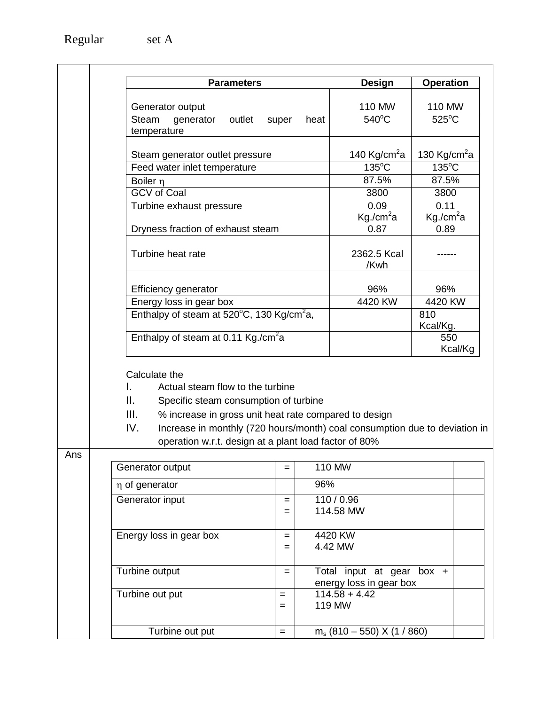| <b>Parameters</b>                                               | Design                   | <b>Operation</b>         |
|-----------------------------------------------------------------|--------------------------|--------------------------|
|                                                                 |                          |                          |
| Generator output                                                | 110 MW                   | 110 MW                   |
| outlet<br>Steam<br>generator<br>heat<br>super<br>temperature    | $540^{\circ}$ C          | $525^{\circ}$ C          |
| Steam generator outlet pressure                                 | 140 Kg/cm <sup>2</sup> a | 130 Kg/cm <sup>2</sup> a |
| Feed water inlet temperature                                    | $135^{\circ}$ C          | $135^{\circ}$ C          |
| Boiler n                                                        | 87.5%                    | 87.5%                    |
| <b>GCV</b> of Coal                                              | 3800                     | 3800                     |
| Turbine exhaust pressure                                        | 0.09                     | 0.11                     |
|                                                                 | Kg/cm <sup>2</sup> a     | $Kg./cm^2a$              |
| Dryness fraction of exhaust steam                               | 0.87                     | 0.89                     |
| Turbine heat rate                                               | 2362.5 Kcal<br>/Kwh      |                          |
| Efficiency generator                                            | 96%                      | 96%                      |
| Energy loss in gear box                                         | 4420 KW                  | 4420 KW                  |
| Enthalpy of steam at $520^{\circ}$ C, 130 Kg/cm <sup>2</sup> a, |                          | 810<br>Kcal/Kg.          |
| Enthalpy of steam at 0.11 Kg./cm <sup>2</sup> a                 |                          | 550<br>Kcal/Kg           |

Calculate the

- I. Actual steam flow to the turbine
- II. Specific steam consumption of turbine
- III. % increase in gross unit heat rate compared to design
- IV. Increase in monthly (720 hours/month) coal consumption due to deviation in operation w.r.t. design at a plant load factor of 80%

Ans

| <b>יים</b> |                         |            |                                                      |  |
|------------|-------------------------|------------|------------------------------------------------------|--|
|            | Generator output        | =          | 110 MW                                               |  |
|            | η of generator          |            | 96%                                                  |  |
|            | Generator input         | $=$        | 110/0.96<br>114.58 MW                                |  |
|            | Energy loss in gear box | =<br>$=$   | 4420 KW<br>4.42 MW                                   |  |
|            | Turbine output          | =          | Total input at gear box +<br>energy loss in gear box |  |
|            | Turbine out put         | $=$<br>$=$ | $114.58 + 4.42$<br><b>119 MW</b>                     |  |
|            | Turbine out put         | $=$        | $m_s$ (810 – 550) X (1 / 860)                        |  |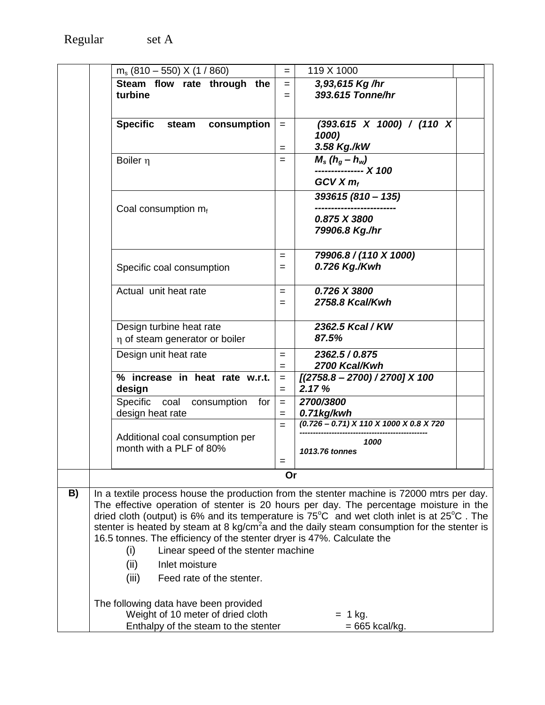|    | $m_s$ (810 – 550) X (1 / 860)                                                                                  | $=$        | 119 X 1000                                |  |
|----|----------------------------------------------------------------------------------------------------------------|------------|-------------------------------------------|--|
|    | Steam flow rate through the                                                                                    | $=$        | 3,93,615 Kg /hr                           |  |
|    | turbine                                                                                                        | $=$        | 393.615 Tonne/hr                          |  |
|    |                                                                                                                |            |                                           |  |
|    | <b>Specific</b><br>consumption<br>steam                                                                        | $=$        | $(393.615 \times 1000) / (110 \times$     |  |
|    |                                                                                                                |            | 1000)                                     |  |
|    |                                                                                                                | $=$        | 3.58 Kg./kW                               |  |
|    | Boiler n                                                                                                       | $=$        | $M_s(h_g-h_w)$<br>--------------- X 100   |  |
|    |                                                                                                                |            | $GCVX$ $mf$                               |  |
|    |                                                                                                                |            | 393615 (810 - 135)                        |  |
|    | Coal consumption $m_f$                                                                                         |            | --------------                            |  |
|    |                                                                                                                |            | 0.875 X 3800                              |  |
|    |                                                                                                                |            | 79906.8 Kg./hr                            |  |
|    |                                                                                                                | $=$        | 79906.8 / (110 X 1000)                    |  |
|    | Specific coal consumption                                                                                      | $=$        | 0.726 Kg./Kwh                             |  |
|    |                                                                                                                |            |                                           |  |
|    | Actual unit heat rate                                                                                          | $=$<br>$=$ | 0.726 X 3800<br>2758.8 Kcal/Kwh           |  |
|    |                                                                                                                |            |                                           |  |
|    | Design turbine heat rate                                                                                       |            | 2362.5 Kcal / KW                          |  |
|    | η of steam generator or boiler                                                                                 |            | 87.5%                                     |  |
|    | Design unit heat rate                                                                                          | $=$        | 2362.5 / 0.875                            |  |
|    |                                                                                                                | $=$        | 2700 Kcal/Kwh                             |  |
|    | % increase in heat rate w.r.t.<br>design                                                                       | $=$<br>$=$ | $[(2758.8 - 2700) / 2700]$ X 100<br>2.17% |  |
|    | Specific coal<br>consumption for                                                                               | $=$        | 2700/3800                                 |  |
|    | design heat rate                                                                                               | $=$        | 0.71kg/kwh                                |  |
|    |                                                                                                                | $=$        | $(0.726 - 0.71)$ X 110 X 1000 X 0.8 X 720 |  |
|    | Additional coal consumption per<br>month with a PLF of 80%                                                     |            | 1000                                      |  |
|    |                                                                                                                |            | 1013.76 tonnes                            |  |
|    |                                                                                                                | Or         |                                           |  |
| B) | In a textile process house the production from the stenter machine is 72000 mtrs per day.                      |            |                                           |  |
|    | The effective operation of stenter is 20 hours per day. The percentage moisture in the                         |            |                                           |  |
|    | dried cloth (output) is 6% and its temperature is $75^{\circ}$ C and wet cloth inlet is at $25^{\circ}$ C. The |            |                                           |  |
|    | stenter is heated by steam at 8 kg/cm <sup>2</sup> a and the daily steam consumption for the stenter is        |            |                                           |  |
|    | 16.5 tonnes. The efficiency of the stenter dryer is 47%. Calculate the                                         |            |                                           |  |
|    | (i)<br>Linear speed of the stenter machine                                                                     |            |                                           |  |
|    | (ii)<br>Inlet moisture                                                                                         |            |                                           |  |
|    | (iii)<br>Feed rate of the stenter.                                                                             |            |                                           |  |
|    | The following data have been provided                                                                          |            |                                           |  |
|    | Weight of 10 meter of dried cloth                                                                              |            | $= 1$ kg.                                 |  |
|    | Enthalpy of the steam to the stenter                                                                           |            | $= 665$ kcal/kg.                          |  |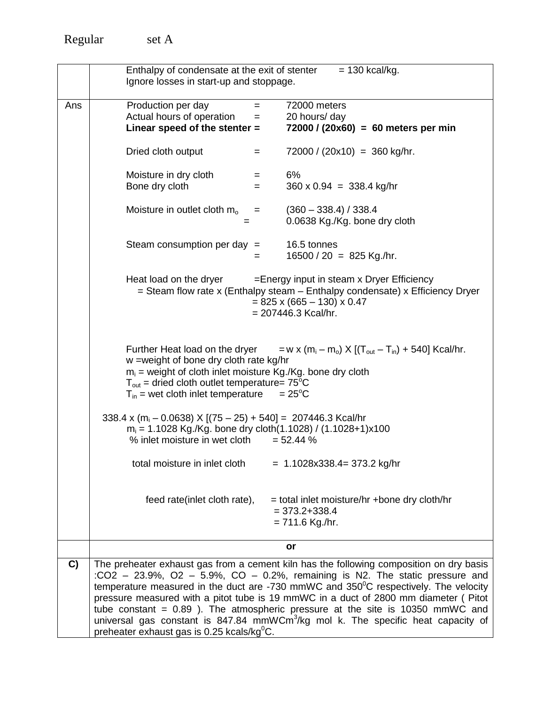|     | Enthalpy of condensate at the exit of stenter                                                                                                                                                                                                                   | $= 130$ kcal/kg.                                                                                                                                                                                                                                                                                                                                                                                                                                                                                                                                    |
|-----|-----------------------------------------------------------------------------------------------------------------------------------------------------------------------------------------------------------------------------------------------------------------|-----------------------------------------------------------------------------------------------------------------------------------------------------------------------------------------------------------------------------------------------------------------------------------------------------------------------------------------------------------------------------------------------------------------------------------------------------------------------------------------------------------------------------------------------------|
|     | Ignore losses in start-up and stoppage.                                                                                                                                                                                                                         |                                                                                                                                                                                                                                                                                                                                                                                                                                                                                                                                                     |
| Ans | Production per day<br>$=$                                                                                                                                                                                                                                       | 72000 meters                                                                                                                                                                                                                                                                                                                                                                                                                                                                                                                                        |
|     | Actual hours of operation<br>$=$                                                                                                                                                                                                                                | 20 hours/ day                                                                                                                                                                                                                                                                                                                                                                                                                                                                                                                                       |
|     | Linear speed of the stenter =                                                                                                                                                                                                                                   | $72000 / (20x60) = 60$ meters per min                                                                                                                                                                                                                                                                                                                                                                                                                                                                                                               |
|     | Dried cloth output<br>$=$                                                                                                                                                                                                                                       | $72000 / (20x10) = 360$ kg/hr.                                                                                                                                                                                                                                                                                                                                                                                                                                                                                                                      |
|     | Moisture in dry cloth<br>$=$                                                                                                                                                                                                                                    | 6%                                                                                                                                                                                                                                                                                                                                                                                                                                                                                                                                                  |
|     | Bone dry cloth<br>$=$                                                                                                                                                                                                                                           | $360 \times 0.94 = 338.4$ kg/hr                                                                                                                                                                                                                                                                                                                                                                                                                                                                                                                     |
|     |                                                                                                                                                                                                                                                                 |                                                                                                                                                                                                                                                                                                                                                                                                                                                                                                                                                     |
|     | Moisture in outlet cloth $mo$<br>$=$                                                                                                                                                                                                                            | $(360 - 338.4) / 338.4$<br>0.0638 Kg./Kg. bone dry cloth                                                                                                                                                                                                                                                                                                                                                                                                                                                                                            |
|     |                                                                                                                                                                                                                                                                 |                                                                                                                                                                                                                                                                                                                                                                                                                                                                                                                                                     |
|     | Steam consumption per day $=$                                                                                                                                                                                                                                   | 16.5 tonnes                                                                                                                                                                                                                                                                                                                                                                                                                                                                                                                                         |
|     | $=$                                                                                                                                                                                                                                                             | $16500 / 20 = 825$ Kg./hr.                                                                                                                                                                                                                                                                                                                                                                                                                                                                                                                          |
|     | Heat load on the dryer                                                                                                                                                                                                                                          | $=$ Energy input in steam x Dryer Efficiency<br>$=$ Steam flow rate x (Enthalpy steam $-$ Enthalpy condensate) x Efficiency Dryer<br>$= 825 \times (665 - 130) \times 0.47$<br>$= 207446.3$ Kcal/hr.                                                                                                                                                                                                                                                                                                                                                |
|     | Further Heat load on the dryer<br>w =weight of bone dry cloth rate kg/hr<br>$m_i$ = weight of cloth inlet moisture Kg./Kg. bone dry cloth<br>$T_{\text{out}}$ = dried cloth outlet temperature= $75^{\circ}$ C<br>$T_{in}$ = wet cloth inlet temperature = 25°C | $= w \times (m_i - m_o) \times [(T_{out} - T_{in}) + 540]$ Kcal/hr.                                                                                                                                                                                                                                                                                                                                                                                                                                                                                 |
|     | 338.4 x (m <sub>i</sub> - 0.0638) X [(75 - 25) + 540] = 207446.3 Kcal/hr                                                                                                                                                                                        |                                                                                                                                                                                                                                                                                                                                                                                                                                                                                                                                                     |
|     | $m_i$ = 1.1028 Kg./Kg. bone dry cloth(1.1028) / (1.1028+1)x100<br>% inlet moisture in wet cloth                                                                                                                                                                 | $= 52.44 \%$                                                                                                                                                                                                                                                                                                                                                                                                                                                                                                                                        |
|     |                                                                                                                                                                                                                                                                 |                                                                                                                                                                                                                                                                                                                                                                                                                                                                                                                                                     |
|     | total moisture in inlet cloth                                                                                                                                                                                                                                   | $= 1.1028x338.4 = 373.2$ kg/hr                                                                                                                                                                                                                                                                                                                                                                                                                                                                                                                      |
|     | feed rate(inlet cloth rate),                                                                                                                                                                                                                                    | = total inlet moisture/hr +bone dry cloth/hr<br>$= 373.2 + 338.4$<br>$= 711.6$ Kg./hr.                                                                                                                                                                                                                                                                                                                                                                                                                                                              |
|     |                                                                                                                                                                                                                                                                 | or                                                                                                                                                                                                                                                                                                                                                                                                                                                                                                                                                  |
| C)  | preheater exhaust gas is 0.25 kcals/ $kg^{0}C$ .                                                                                                                                                                                                                | The preheater exhaust gas from a cement kiln has the following composition on dry basis<br>:CO2 - 23.9%, O2 - 5.9%, CO - 0.2%, remaining is N2. The static pressure and<br>temperature measured in the duct are -730 mmWC and $350^{\circ}$ C respectively. The velocity<br>pressure measured with a pitot tube is 19 mmWC in a duct of 2800 mm diameter (Pitot<br>tube constant = $0.89$ ). The atmospheric pressure at the site is 10350 mmWC and<br>universal gas constant is 847.84 mmWCm <sup>3</sup> /kg mol k. The specific heat capacity of |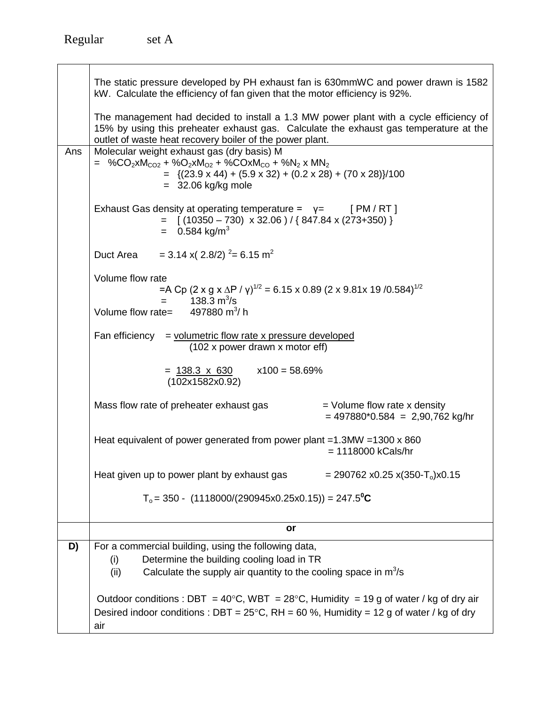|     | The static pressure developed by PH exhaust fan is 630mmWC and power drawn is 1582<br>kW. Calculate the efficiency of fan given that the motor efficiency is 92%.                                                                                                      |
|-----|------------------------------------------------------------------------------------------------------------------------------------------------------------------------------------------------------------------------------------------------------------------------|
|     | The management had decided to install a 1.3 MW power plant with a cycle efficiency of<br>15% by using this preheater exhaust gas. Calculate the exhaust gas temperature at the<br>outlet of waste heat recovery boiler of the power plant.                             |
| Ans | Molecular weight exhaust gas (dry basis) M<br>= %CO <sub>2</sub> xM <sub>CO2</sub> + %O <sub>2</sub> xM <sub>O2</sub> + %COxM <sub>CO</sub> + %N <sub>2</sub> x MN <sub>2</sub><br>$=$ {(23.9 x 44) + (5.9 x 32) + (0.2 x 28) + (70 x 28)}/100<br>$=$ 32.06 kg/kg mole |
|     | Exhaust Gas density at operating temperature = $y =$ [PM/RT]<br>$=$ [(10350 - 730) x 32.06)/{847.84 x (273+350)}<br>$= 0.584$ kg/m <sup>3</sup>                                                                                                                        |
|     | Duct Area = 3.14 x( 2.8/2) $^{2}$ = 6.15 m <sup>2</sup>                                                                                                                                                                                                                |
|     | Volume flow rate<br>=A Cp (2 x g x $\Delta$ P / $\gamma$ ) <sup>1/2</sup> = 6.15 x 0.89 (2 x 9.81x 19 /0.584) <sup>1/2</sup><br>$= 138.3 \text{ m}^3/\text{s}$<br>Volume flow rate= $497880 \text{ m}^3\text{/} \text{h}$                                              |
|     |                                                                                                                                                                                                                                                                        |
|     | Fan efficiency $=$ volumetric flow rate x pressure developed<br>(102 x power drawn x motor eff)                                                                                                                                                                        |
|     | $= 138.3 \times 630$ $\times 100 = 58.69\%$<br>(102x1582x0.92)                                                                                                                                                                                                         |
|     | $=$ Volume flow rate x density<br>Mass flow rate of preheater exhaust gas<br>$= 497880^{*}0.584 = 2,90,762$ kg/hr                                                                                                                                                      |
|     | Heat equivalent of power generated from power plant = $1.3$ MW = $1300 \times 860$<br>$= 1118000$ kCals/hr                                                                                                                                                             |
|     | Heat given up to power plant by exhaust gas<br>$= 290762$ x0.25 x(350-T <sub>o</sub> )x0.15                                                                                                                                                                            |
|     | $T_0$ = 350 - (1118000/(290945x0.25x0.15)) = 247.5 <sup>o</sup> C                                                                                                                                                                                                      |
|     | or                                                                                                                                                                                                                                                                     |
| D)  | For a commercial building, using the following data,                                                                                                                                                                                                                   |
|     | Determine the building cooling load in TR<br>(i)                                                                                                                                                                                                                       |
|     | Calculate the supply air quantity to the cooling space in $m^3/s$<br>(ii)                                                                                                                                                                                              |
|     |                                                                                                                                                                                                                                                                        |
|     | Outdoor conditions : DBT = $40^{\circ}$ C, WBT = $28^{\circ}$ C, Humidity = 19 g of water / kg of dry air                                                                                                                                                              |
|     | Desired indoor conditions : DBT = $25^{\circ}$ C, RH = 60 %, Humidity = 12 g of water / kg of dry<br>air                                                                                                                                                               |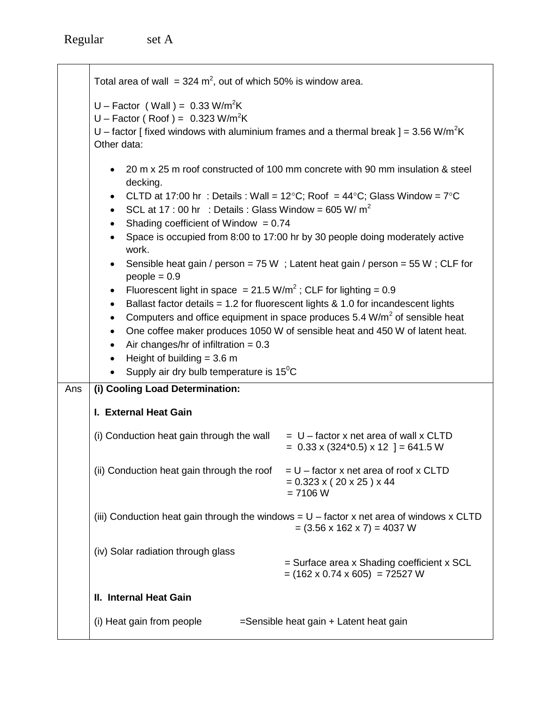|     | Total area of wall = $324 \text{ m}^2$ , out of which 50% is window area.                                                                                                                                                                                                                                                                                                                                                          |                                                                                                                                                                                                                                                                                                                                                                                                                                                                                                                                                                                                          |
|-----|------------------------------------------------------------------------------------------------------------------------------------------------------------------------------------------------------------------------------------------------------------------------------------------------------------------------------------------------------------------------------------------------------------------------------------|----------------------------------------------------------------------------------------------------------------------------------------------------------------------------------------------------------------------------------------------------------------------------------------------------------------------------------------------------------------------------------------------------------------------------------------------------------------------------------------------------------------------------------------------------------------------------------------------------------|
|     | U - Factor (Wall) = $0.33$ W/m <sup>2</sup> K<br>U – Factor (Roof) = $0.323$ W/m <sup>2</sup> K<br>U – factor [fixed windows with aluminium frames and a thermal break ] = 3.56 W/m <sup>2</sup> K<br>Other data:                                                                                                                                                                                                                  |                                                                                                                                                                                                                                                                                                                                                                                                                                                                                                                                                                                                          |
|     | decking.<br>SCL at 17 : 00 hr : Details : Glass Window = 605 W/ $m^2$<br>$\bullet$<br>Shading coefficient of Window = $0.74$<br>$\bullet$<br>work.<br>$\bullet$<br>$people = 0.9$<br>Fluorescent light in space = $21.5 \text{ W/m}^2$ ; CLF for lighting = 0.9<br>$\bullet$<br>$\bullet$<br>٠<br>Air changes/hr of infiltration = $0.3$<br>٠<br>Height of building $=$ 3.6 m<br>Supply air dry bulb temperature is $15^{\circ}$ C | 20 m x 25 m roof constructed of 100 mm concrete with 90 mm insulation & steel<br>CLTD at 17:00 hr : Details : Wall = 12°C; Roof = 44°C; Glass Window = $7^{\circ}$ C<br>Space is occupied from 8:00 to 17:00 hr by 30 people doing moderately active<br>Sensible heat gain / person = 75 W ; Latent heat gain / person = 55 W; CLF for<br>Ballast factor details = $1.2$ for fluorescent lights & $1.0$ for incandescent lights<br>Computers and office equipment in space produces 5.4 W/m <sup>2</sup> of sensible heat<br>One coffee maker produces 1050 W of sensible heat and 450 W of latent heat. |
| Ans | (i) Cooling Load Determination:                                                                                                                                                                                                                                                                                                                                                                                                    |                                                                                                                                                                                                                                                                                                                                                                                                                                                                                                                                                                                                          |
|     | I. External Heat Gain                                                                                                                                                                                                                                                                                                                                                                                                              |                                                                                                                                                                                                                                                                                                                                                                                                                                                                                                                                                                                                          |
|     | (i) Conduction heat gain through the wall                                                                                                                                                                                                                                                                                                                                                                                          | $= U$ – factor x net area of wall x CLTD<br>$= 0.33 \times (324*0.5) \times 12$ ] = 641.5 W                                                                                                                                                                                                                                                                                                                                                                                                                                                                                                              |
|     | (ii) Conduction heat gain through the roof                                                                                                                                                                                                                                                                                                                                                                                         | $= U -$ factor x net area of roof x CLTD<br>$= 0.323$ x (20 x 25) x 44<br>$= 7106 W$                                                                                                                                                                                                                                                                                                                                                                                                                                                                                                                     |
|     |                                                                                                                                                                                                                                                                                                                                                                                                                                    | (iii) Conduction heat gain through the windows = $U$ – factor x net area of windows x CLTD<br>$= (3.56 \times 162 \times 7) = 4037$ W                                                                                                                                                                                                                                                                                                                                                                                                                                                                    |
|     | (iv) Solar radiation through glass                                                                                                                                                                                                                                                                                                                                                                                                 | = Surface area x Shading coefficient x SCL<br>$= (162 \times 0.74 \times 605) = 72527 W$                                                                                                                                                                                                                                                                                                                                                                                                                                                                                                                 |
|     | II. Internal Heat Gain                                                                                                                                                                                                                                                                                                                                                                                                             |                                                                                                                                                                                                                                                                                                                                                                                                                                                                                                                                                                                                          |
|     | (i) Heat gain from people                                                                                                                                                                                                                                                                                                                                                                                                          | =Sensible heat gain + Latent heat gain                                                                                                                                                                                                                                                                                                                                                                                                                                                                                                                                                                   |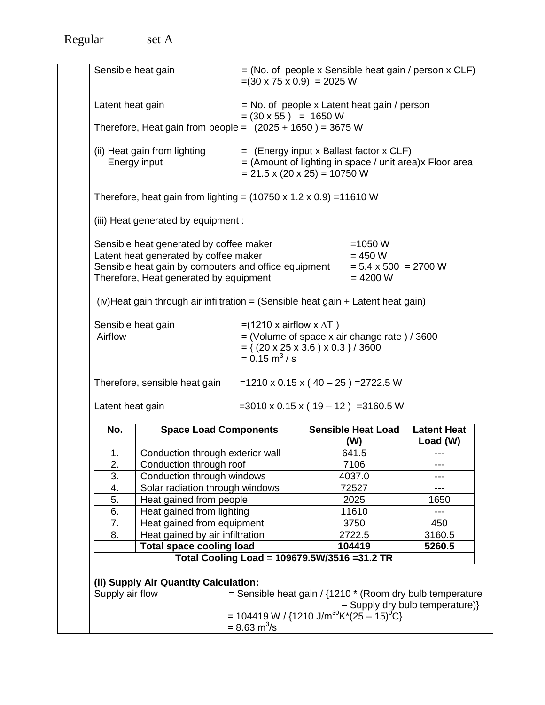Regular set A

|                  | Sensible heat gain                                                                                                                                                                 | $=(30 \times 75 \times 0.9) = 2025$ W                                                                                                                                             |                                                                     | $=$ (No. of people x Sensible heat gain / person x CLF)      |
|------------------|------------------------------------------------------------------------------------------------------------------------------------------------------------------------------------|-----------------------------------------------------------------------------------------------------------------------------------------------------------------------------------|---------------------------------------------------------------------|--------------------------------------------------------------|
| Latent heat gain |                                                                                                                                                                                    | $= (30 \times 55) = 1650 \text{ W}$                                                                                                                                               | $=$ No. of people x Latent heat gain / person                       |                                                              |
|                  | Therefore, Heat gain from people = $(2025 + 1650) = 3675$ W                                                                                                                        |                                                                                                                                                                                   |                                                                     |                                                              |
|                  | (ii) Heat gain from lighting<br>Energy input                                                                                                                                       | $=$ (Energy input x Ballast factor x CLF)<br>$= 21.5 \times (20 \times 25) = 10750$ W                                                                                             |                                                                     | $=$ (Amount of lighting in space / unit area) $x$ Floor area |
|                  | Therefore, heat gain from lighting = $(10750 \times 1.2 \times 0.9)$ = 11610 W                                                                                                     |                                                                                                                                                                                   |                                                                     |                                                              |
|                  | (iii) Heat generated by equipment :                                                                                                                                                |                                                                                                                                                                                   |                                                                     |                                                              |
|                  | Sensible heat generated by coffee maker<br>Latent heat generated by coffee maker<br>Sensible heat gain by computers and office equipment<br>Therefore, Heat generated by equipment |                                                                                                                                                                                   | $=1050 W$<br>$= 450 W$<br>$= 5.4 \times 500 = 2700 W$<br>$= 4200 W$ |                                                              |
|                  | $(iv)$ Heat gain through air infiltration = (Sensible heat gain + Latent heat gain)                                                                                                |                                                                                                                                                                                   |                                                                     |                                                              |
| Airflow          | Sensible heat gain                                                                                                                                                                 | = $(1210 \times \text{airflow} \times \Delta T)$<br>$=$ (Volume of space x air change rate) / 3600                                                                                |                                                                     |                                                              |
| Latent heat gain | Therefore, sensible heat gain                                                                                                                                                      | $= \{ (20 \times 25 \times 3.6) \times 0.3 \} / 3600$<br>$= 0.15$ m <sup>3</sup> /s<br>=1210 x 0.15 x ( $40 - 25$ ) = 2722.5 W<br>$=3010 \times 0.15 \times (19 - 12) = 3160.5 W$ |                                                                     |                                                              |
| No.              | <b>Space Load Components</b>                                                                                                                                                       |                                                                                                                                                                                   | <b>Sensible Heat Load</b><br>(W)                                    | <b>Latent Heat</b>                                           |
| 1.               | Conduction through exterior wall                                                                                                                                                   |                                                                                                                                                                                   | 641.5                                                               | Load (W)                                                     |
| 2.               | Conduction through roof                                                                                                                                                            |                                                                                                                                                                                   | 7106                                                                | $-- -$                                                       |
| 3.               | Conduction through windows                                                                                                                                                         |                                                                                                                                                                                   | 4037.0                                                              |                                                              |
| 4.               | Solar radiation through windows                                                                                                                                                    |                                                                                                                                                                                   | 72527                                                               |                                                              |
| $\overline{5}$ . | Heat gained from people                                                                                                                                                            |                                                                                                                                                                                   | 2025                                                                | 1650                                                         |
| 6.               | Heat gained from lighting                                                                                                                                                          |                                                                                                                                                                                   | 11610                                                               | $---$                                                        |
| $\overline{7}$ . | Heat gained from equipment                                                                                                                                                         |                                                                                                                                                                                   | 3750                                                                | 450                                                          |
| 8.               |                                                                                                                                                                                    |                                                                                                                                                                                   | 2722.5                                                              | 3160.5                                                       |
|                  | Heat gained by air infiltration<br><b>Total space cooling load</b>                                                                                                                 |                                                                                                                                                                                   | 104419                                                              | 5260.5                                                       |
|                  | (ii) Supply Air Quantity Calculation:                                                                                                                                              | Total Cooling Load = 109679.5W/3516 = 31.2 TR                                                                                                                                     |                                                                     |                                                              |
| Supply air flow  |                                                                                                                                                                                    | = Sensible heat gain / $\{1210 * (Room dry bulb temperature)$<br>= 104419 W / {1210 J/m <sup>30</sup> K*(25 - 15) <sup>o</sup> C}<br>$= 8.63 \text{ m}^3/\text{s}$                |                                                                     | - Supply dry bulb temperature)}                              |